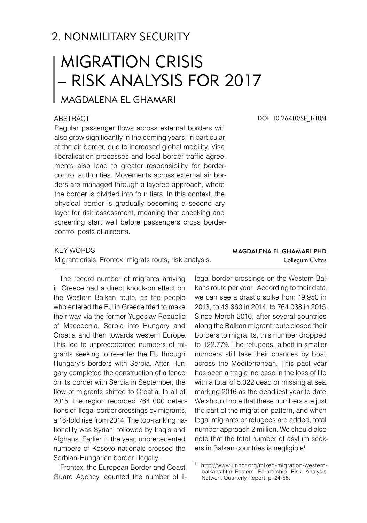# 2. NONMILITARY SECURITY

# Migration Crisis – Risk Analysis for 2017

## Magdalena El Ghamari

#### **ABSTRACT**

Regular passenger flows across external borders will also grow significantly in the coming years, in particular at the air border, due to increased global mobility. Visa liberalisation processes and local border traffic agreements also lead to greater responsibility for bordercontrol authorities. Movements across external air borders are managed through a layered approach, where the border is divided into four tiers. In this context, the physical border is gradually becoming a second ary layer for risk assessment, meaning that checking and screening start well before passengers cross bordercontrol posts at airports.

#### **KEY WORDS**

Migrant crisis, Frontex, migrats routs, risk analysis.

The record number of migrants arriving in Greece had a direct knock-on effect on the Western Balkan route, as the people who entered the EU in Greece tried to make their way via the former Yugoslav Republic of Macedonia, Serbia into Hungary and Croatia and then towards western Europe. This led to unprecedented numbers of migrants seeking to re-enter the EU through Hungary's borders with Serbia. After Hungary completed the construction of a fence on its border with Serbia in September, the flow of migrants shifted to Croatia. In all of 2015, the region recorded 764 000 detections of illegal border crossings by migrants, a 16-fold rise from 2014. The top-ranking nationality was Syrian, followed by Iraqis and Afghans. Earlier in the year, unprecedented numbers of Kosovo nationals crossed the Serbian-Hungarian border illegally.

Frontex, the European Border and Coast Guard Agency, counted the number of ilDOI: 10.26410/SF\_1/18/4

#### Magdalena El Ghamari PhD Collegum Civitas

legal border crossings on the Western Balkans route per year. According to their data, we can see a drastic spike from 19.950 in 2013, to 43.360 in 2014, to 764.038 in 2015. Since March 2016, after several countries along the Balkan migrant route closed their borders to migrants, this number dropped to 122.779. The refugees, albeit in smaller numbers still take their chances by boat, across the Mediterranean. This past year has seen a tragic increase in the loss of life with a total of 5.022 dead or missing at sea, marking 2016 as the deadliest year to date. We should note that these numbers are just the part of the migration pattern, and when legal migrants or refugees are added, total number approach 2 million. We should also note that the total number of asylum seekers in Balkan countries is negligible<sup>1</sup>.

http://www.unhcr.org/mixed-migration-westernbalkans.html,Eastern Partnership Risk Analysis Network Quarterly Report, p. 24-55.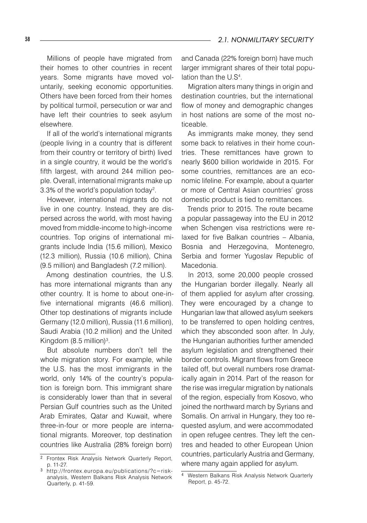Millions of people have migrated from their homes to other countries in recent years. Some migrants have moved voluntarily, seeking economic opportunities. Others have been forced from their homes by political turmoil, persecution or war and have left their countries to seek asylum elsewhere.

If all of the world's international migrants (people living in a country that is different from their country or territory of birth) lived in a single country, it would be the world's fifth largest, with around 244 million people. Overall, international migrants make up 3.3% of the world's population today2 .

However, international migrants do not live in one country. Instead, they are dispersed across the world, with most having moved from middle-income to high-income countries. Top origins of international migrants include India (15.6 million), Mexico (12.3 million), Russia (10.6 million), China (9.5 million) and Bangladesh (7.2 million).

Among destination countries, the U.S. has more international migrants than any other country. It is home to about one-infive international migrants (46.6 million). Other top destinations of migrants include Germany (12.0 million), Russia (11.6 million), Saudi Arabia (10.2 million) and the United Kingdom (8.5 million)<sup>3</sup>.

But absolute numbers don't tell the whole migration story. For example, while the U.S. has the most immigrants in the world, only 14% of the country's population is foreign born. This immigrant share is considerably lower than that in several Persian Gulf countries such as the United Arab Emirates, Qatar and Kuwait, where three-in-four or more people are international migrants. Moreover, top destination countries like Australia (28% foreign born)

and Canada (22% foreign born) have much larger immigrant shares of their total population than the U.S<sup>4</sup>.

Migration alters many things in origin and destination countries, but the international flow of money and demographic changes in host nations are some of the most noticeable.

As immigrants make money, they send some back to relatives in their home countries. These remittances have grown to nearly \$600 billion worldwide in 2015. For some countries, remittances are an economic lifeline. For example, about a quarter or more of Central Asian countries' gross domestic product is tied to remittances.

Trends prior to 2015. The route became a popular passageway into the EU in 2012 when Schengen visa restrictions were relaxed for five Balkan countries – Albania, Bosnia and Herzegovina, Montenegro, Serbia and former Yugoslav Republic of Macedonia.

In 2013, some 20,000 people crossed the Hungarian border illegally. Nearly all of them applied for asylum after crossing. They were encouraged by a change to Hungarian law that allowed asylum seekers to be transferred to open holding centres, which they absconded soon after. In July, the Hungarian authorities further amended asylum legislation and strengthened their border controls. Migrant flows from Greece tailed off, but overall numbers rose dramatically again in 2014. Part of the reason for the rise was irregular migration by nationals of the region, especially from Kosovo, who joined the northward march by Syrians and Somalis. On arrival in Hungary, they too requested asylum, and were accommodated in open refugee centres. They left the centres and headed to other European Union countries, particularly Austria and Germany, where many again applied for asylum.

<sup>&</sup>lt;sup>2</sup> Frontex Risk Analysis Network Quarterly Report, p. 11-27.

http://frontex.europa.eu/publications/?c=riskanalysis, Western Balkans Risk Analysis Network Quarterly, p. 41-59.

Western Balkans Risk Analysis Network Quarterly Report, p. 45-72.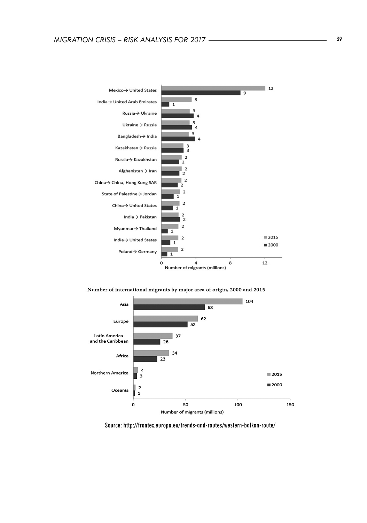

Number of international migrants by major area of origin, 2000 and 2015



Source: http://frontex.europa.eu/trends-and-routes/western-balkan-route/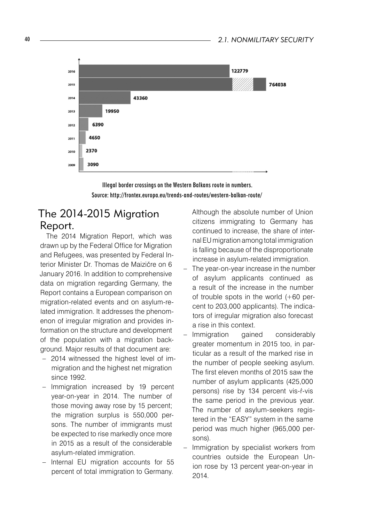

Illegal border crossings on the Western Balkans route in numbers. Source: http://frontex.europa.eu/trends-and-routes/western-balkan-route/

## The 2014-2015 Migration Report.

The 2014 Migration Report, which was drawn up by the Federal Office for Migration and Refugees, was presented by Federal Interior Minister Dr. Thomas de Maizičre on 6 January 2016. In addition to comprehensive data on migration regarding Germany, the Report contains a European comparison on migration-related events and on asylum-related immigration. It addresses the phenomenon of irregular migration and provides information on the structure and development of the population with a migration background. Major results of that document are:

- 2014 witnessed the highest level of immigration and the highest net migration since 1992.
- Immigration increased by 19 percent year-on-year in 2014. The number of those moving away rose by 15 percent; the migration surplus is 550,000 persons. The number of immigrants must be expected to rise markedly once more in 2015 as a result of the considerable asylum-related immigration.
- Internal EU migration accounts for 55 percent of total immigration to Germany.

Although the absolute number of Union citizens immigrating to Germany has continued to increase, the share of internal EU migration among total immigration is falling because of the disproportionate increase in asylum-related immigration.

- The year-on-year increase in the number of asylum applicants continued as a result of the increase in the number of trouble spots in the world (+60 percent to 203,000 applicants). The indicators of irregular migration also forecast a rise in this context.
- Immigration gained considerably greater momentum in 2015 too, in particular as a result of the marked rise in the number of people seeking asylum. The first eleven months of 2015 saw the number of asylum applicants (425,000 persons) rise by 134 percent vis-ŕ-vis the same period in the previous year. The number of asylum-seekers registered in the "EASY" system in the same period was much higher (965,000 persons).
- Immigration by specialist workers from countries outside the European Union rose by 13 percent year-on-year in 2014.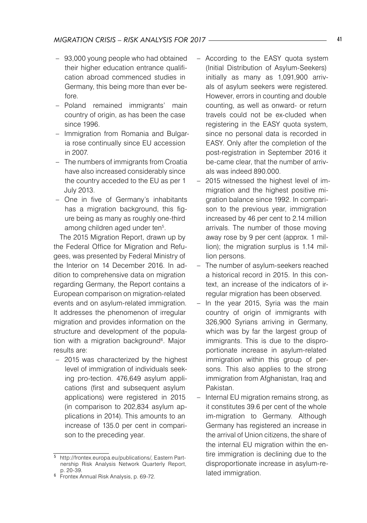- 93,000 young people who had obtained their higher education entrance qualification abroad commenced studies in Germany, this being more than ever before.
- Poland remained immigrants' main country of origin, as has been the case since 1996.
- Immigration from Romania and Bulgaria rose continually since EU accession in 2007.
- The numbers of immigrants from Croatia have also increased considerably since the country acceded to the EU as per 1 July 2013.
- One in five of Germany's inhabitants has a migration background, this figure being as many as roughly one-third among children aged under ten<sup>5</sup>.

The 2015 Migration Report, drawn up by the Federal Office for Migration and Refugees, was presented by Federal Ministry of the Interior on 14 December 2016. In addition to comprehensive data on migration regarding Germany, the Report contains a European comparison on migration-related events and on asylum-related immigration. It addresses the phenomenon of irregular migration and provides information on the structure and development of the population with a migration background<sup>6</sup>. Major results are:

– 2015 was characterized by the highest level of immigration of individuals seeking pro-tection. 476,649 asylum applications (first and subsequent asylum applications) were registered in 2015 (in comparison to 202,834 asylum applications in 2014). This amounts to an increase of 135.0 per cent in comparison to the preceding year.

- According to the EASY quota system (Initial Distribution of Asylum-Seekers) initially as many as 1,091,900 arrivals of asylum seekers were registered. However, errors in counting and double counting, as well as onward- or return travels could not be ex-cluded when registering in the EASY quota system, since no personal data is recorded in EASY. Only after the completion of the post-registration in September 2016 it be-came clear, that the number of arrivals was indeed 890.000.
- 2015 witnessed the highest level of immigration and the highest positive migration balance since 1992. In comparison to the previous year, immigration increased by 46 per cent to 2.14 million arrivals. The number of those moving away rose by 9 per cent (approx. 1 million); the migration surplus is 1.14 million persons.
- The number of asylum-seekers reached a historical record in 2015. In this context, an increase of the indicators of irregular migration has been observed.
- In the year 2015, Syria was the main country of origin of immigrants with 326,900 Syrians arriving in Germany, which was by far the largest group of immigrants. This is due to the disproportionate increase in asylum-related immigration within this group of persons. This also applies to the strong immigration from Afghanistan, Iraq and Pakistan.
- Internal EU migration remains strong, as it constitutes 39.6 per cent of the whole im-migration to Germany. Although Germany has registered an increase in the arrival of Union citizens, the share of the internal EU migration within the entire immigration is declining due to the disproportionate increase in asylum-related immigration.

http://frontex.europa.eu/publications/, Eastern Partnership Risk Analysis Network Quarterly Report,

p. 20-39. Frontex Annual Risk Analysis, p. 69-72.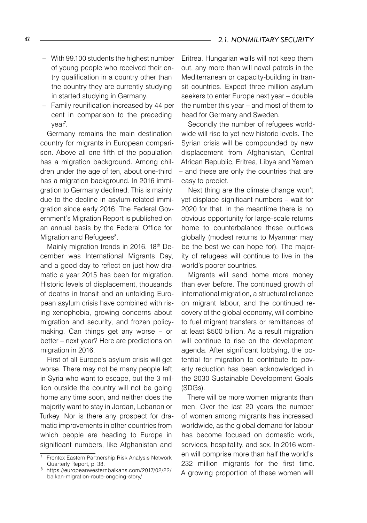- With 99.100 students the highest number of young people who received their entry qualification in a country other than the country they are currently studying in started studying in Germany.
- Family reunification increased by 44 per cent in comparison to the preceding year<sup>7</sup>.

Germany remains the main destination country for migrants in European comparison. Above all one fifth of the population has a migration background. Among children under the age of ten, about one-third has a migration background. In 2016 immigration to Germany declined. This is mainly due to the decline in asylum-related immigration since early 2016. The Federal Government's Migration Report is published on an annual basis by the Federal Office for Migration and Refugees<sup>8</sup>.

Mainly migration trends in 2016. 18<sup>th</sup> December was International Migrants Day, and a good day to reflect on just how dramatic a year 2015 has been for migration. Historic levels of displacement, thousands of deaths in transit and an unfolding European asylum crisis have combined with rising xenophobia, growing concerns about migration and security, and frozen policymaking. Can things get any worse – or better – next year? Here are predictions on migration in 2016.

First of all Europe's asylum crisis will get worse. There may not be many people left in Syria who want to escape, but the 3 million outside the country will not be going home any time soon, and neither does the majority want to stay in Jordan, Lebanon or Turkey. Nor is there any prospect for dramatic improvements in other countries from which people are heading to Europe in significant numbers, like Afghanistan and

Eritrea. Hungarian walls will not keep them out, any more than will naval patrols in the Mediterranean or capacity-building in transit countries. Expect three million asylum seekers to enter Europe next year – double the number this year – and most of them to head for Germany and Sweden.

Secondly the number of refugees worldwide will rise to yet new historic levels. The Syrian crisis will be compounded by new displacement from Afghanistan, Central African Republic, Eritrea, Libya and Yemen – and these are only the countries that are easy to predict.

Next thing are the climate change won't yet displace significant numbers – wait for 2020 for that. In the meantime there is no obvious opportunity for large-scale returns home to counterbalance these outflows globally (modest returns to Myanmar may be the best we can hope for). The majority of refugees will continue to live in the world's poorer countries.

Migrants will send home more money than ever before. The continued growth of international migration, a structural reliance on migrant labour, and the continued recovery of the global economy, will combine to fuel migrant transfers or remittances of at least \$500 billion. As a result migration will continue to rise on the development agenda. After significant lobbying, the potential for migration to contribute to poverty reduction has been acknowledged in the 2030 Sustainable Development Goals (SDGs).

There will be more women migrants than men. Over the last 20 years the number of women among migrants has increased worldwide, as the global demand for labour has become focused on domestic work, services, hospitality, and sex. In 2016 women will comprise more than half the world's 232 million migrants for the first time. A growing proportion of these women will

 $\frac{1}{7}$  Frontex Eastern Partnership Risk Analysis Network Quarterly Report, p. 38.

https://europeanwesternbalkans.com/2017/02/22/ balkan-migration-route-ongoing-story/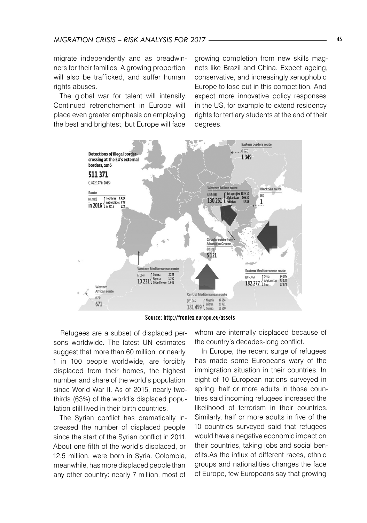migrate independently and as breadwinners for their families. A growing proportion will also be trafficked, and suffer human rights abuses.

The global war for talent will intensify. Continued retrenchement in Europe will place even greater emphasis on employing the best and brightest, but Europe will face

growing completion from new skills magnets like Brazil and China. Expect ageing, conservative, and increasingly xenophobic Europe to lose out in this competition. And expect more innovative policy responses in the US, for example to extend residency rights for tertiary students at the end of their degrees.





Refugees are a subset of displaced persons worldwide. The latest UN estimates suggest that more than 60 million, or nearly 1 in 100 people worldwide, are forcibly displaced from their homes, the highest number and share of the world's population since World War II. As of 2015, nearly twothirds (63%) of the world's displaced population still lived in their birth countries.

The Syrian conflict has dramatically increased the number of displaced people since the start of the Syrian conflict in 2011. About one-fifth of the world's displaced, or 12.5 million, were born in Syria. Colombia, meanwhile, has more displaced people than any other country: nearly 7 million, most of

whom are internally displaced because of the country's decades-long conflict.

In Europe, the recent surge of refugees has made some Europeans wary of the immigration situation in their countries. In eight of 10 European nations surveyed in spring, half or more adults in those countries said incoming refugees increased the likelihood of terrorism in their countries. Similarly, half or more adults in five of the 10 countries surveyed said that refugees would have a negative economic impact on their countries, taking jobs and social benefits.As the influx of different races, ethnic groups and nationalities changes the face of Europe, few Europeans say that growing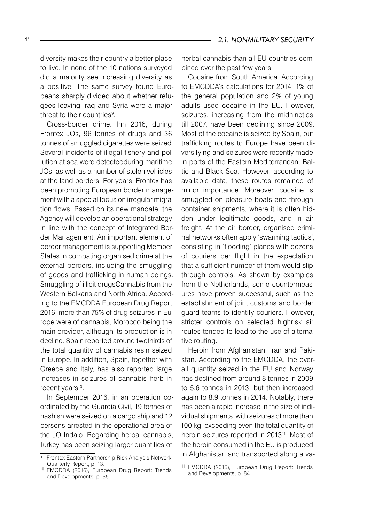diversity makes their country a better place to live. In none of the 10 nations surveyed did a majority see increasing diversity as a positive. The same survey found Europeans sharply divided about whether refugees leaving Iraq and Syria were a major threat to their countries<sup>9</sup>.

Cross-border crime. Inn 2016, during Frontex JOs, 96 tonnes of drugs and 36 tonnes of smuggled cigarettes were seized. Several incidents of illegal fishery and pollution at sea were detectedduring maritime JOs, as well as a number of stolen vehicles at the land borders. For years, Frontex has been promoting European border management with a special focus on irregular migration flows. Based on its new mandate, the Agency will develop an operational strategy in line with the concept of Integrated Border Management. An important element of border management is supporting Member States in combating organised crime at the external borders, including the smuggling of goods and trafficking in human beings. Smuggling of illicit drugsCannabis from the Western Balkans and North Africa. According to the EMCDDA European Drug Report 2016, more than 75% of drug seizures in Europe were of cannabis, Morocco being the main provider, although its production is in decline. Spain reported around twothirds of the total quantity of cannabis resin seized in Europe. In addition, Spain, together with Greece and Italy, has also reported large increases in seizures of cannabis herb in recent years<sup>10</sup>.

In September 2016, in an operation coordinated by the Guardia Civil, 19 tonnes of hashish were seized on a cargo ship and 12 persons arrested in the operational area of the JO Indalo. Regarding herbal cannabis, Turkey has been seizing larger quantities of

herbal cannabis than all EU countries combined over the past few years.

Cocaine from South America. According to EMCDDA's calculations for 2014, 1% of the general population and 2% of young adults used cocaine in the EU. However, seizures, increasing from the midnineties till 2007, have been declining since 2009. Most of the cocaine is seized by Spain, but trafficking routes to Europe have been diversifying and seizures were recently made in ports of the Eastern Mediterranean, Baltic and Black Sea. However, according to available data, these routes remained of minor importance. Moreover, cocaine is smuggled on pleasure boats and through container shipments, where it is often hidden under legitimate goods, and in air freight. At the air border, organised criminal networks often apply 'swarming tactics', consisting in 'flooding' planes with dozens of couriers per flight in the expectation that a sufficient number of them would slip through controls. As shown by examples from the Netherlands, some countermeasures have proven successful, such as the establishment of joint customs and border guard teams to identify couriers. However, stricter controls on selected highrisk air routes tended to lead to the use of alternative routing.

Heroin from Afghanistan, Iran and Pakistan. According to the EMCDDA, the overall quantity seized in the EU and Norway has declined from around 8 tonnes in 2009 to 5.6 tonnes in 2013, but then increased again to 8.9 tonnes in 2014. Notably, there has been a rapid increase in the size of individual shipments, with seizures of more than 100 kg, exceeding even the total quantity of heroin seizures reported in 2013<sup>11</sup>. Most of the heroin consumed in the EU is produced in Afghanistan and transported along a va

**Frontex Eastern Partnership Risk Analysis Network** Quarterly Report, p. 13.

<sup>10</sup> EMCDDA (2016), European Drug Report: Trends and Developments, p. 65.

<sup>11</sup> EMCDDA (2016), European Drug Report: Trends and Developments, p. 84.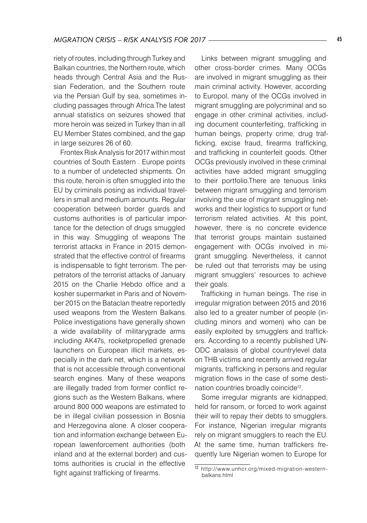riety of routes, including through Turkey and Balkan countries, the Northern route, which heads through Central Asia and the Russian Federation, and the Southern route via the Persian Gulf by sea, sometimes including passages through Africa.The latest annual statistics on seizures showed that more heroin was seized in Turkey than in all EU Member States combined, and the gap in large seizures 26 of 60.

Frontex Risk Analysis for 2017 within most countries of South Eastern . Europe points to a number of undetected shipments. On this route, heroin is often smuggled into the EU by criminals posing as individual travellers in small and medium amounts. Regular cooperation between border guards and customs authorities is of particular importance for the detection of drugs smuggled in this way. Smuggling of weapons The terrorist attacks in France in 2015 demonstrated that the effective control of firearms is indispensable to fight terrorism. The perpetrators of the terrorist attacks of January 2015 on the Charlie Hebdo office and a kosher supermarket in Paris and of November 2015 on the Bataclan theatre reportedly used weapons from the Western Balkans. Police investigations have generally shown a wide availability of militarygrade arms including AK47s, rocketpropelled grenade launchers on European illicit markets, especially in the dark net, which is a network that is not accessible through conventional search engines. Many of these weapons are illegally traded from former conflict regions such as the Western Balkans, where around 800 000 weapons are estimated to be in illegal civilian possession in Bosnia and Herzegovina alone. A closer cooperation and information exchange between European lawenforcement authorities (both inland and at the external border) and customs authorities is crucial in the effective fight against trafficking of firearms.

Links between migrant smuggling and other cross-border crimes. Many OCGs are involved in migrant smuggling as their main criminal activity. However, according to Europol, many of the OCGs involved in migrant smuggling are polycriminal and so engage in other criminal activities, including document counterfeiting, trafficking in human beings, property crime, drug trafficking, excise fraud, firearms trafficking, and trafficking in counterfeit goods. Other OCGs previously involved in these criminal activities have added migrant smuggling to their portfolio.There are tenuous links between migrant smuggling and terrorism involving the use of migrant smuggling networks and their logistics to support or fund terrorism related activities. At this point, however, there is no concrete evidence that terrorist groups maintain sustained engagement with OCGs involved in migrant smuggling. Nevertheless, it cannot be ruled out that terrorists may be using migrant smugglers' resources to achieve their goals.

Trafficking in human beings. The rise in irregular migration between 2015 and 2016 also led to a greater number of people (including minors and women) who can be easily exploited by smugglers and traffickers. According to a recently published UN-ODC analasis of global countrylevel data on THB victims and recently arrived regular migrants, trafficking in persons and regular migration flows in the case of some destination countries broadly coincide<sup>12</sup>.

Some irregular migrants are kidnapped, held for ransom, or forced to work against their will to repay their debts to smugglers. For instance, Nigerian irregular migrants rely on migrant smugglers to reach the EU. At the same time, human traffickers frequently lure Nigerian women to Europe for

<sup>12</sup> http://www.unhcr.org/mixed-migration-westernbalkans.html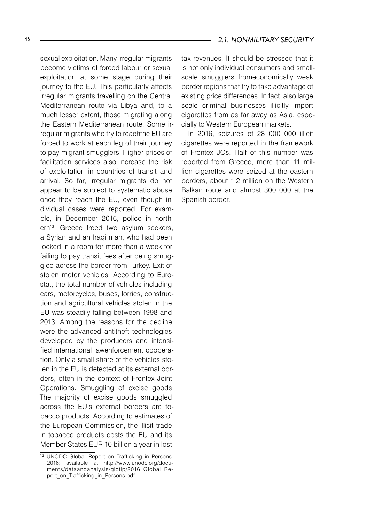sexual exploitation. Many irregular migrants become victims of forced labour or sexual exploitation at some stage during their journey to the EU. This particularly affects irregular migrants travelling on the Central Mediterranean route via Libya and, to a much lesser extent, those migrating along the Eastern Mediterranean route. Some irregular migrants who try to reachthe EU are forced to work at each leg of their journey to pay migrant smugglers. Higher prices of facilitation services also increase the risk of exploitation in countries of transit and arrival. So far, irregular migrants do not appear to be subject to systematic abuse once they reach the EU, even though individual cases were reported. For example, in December 2016, police in northern<sup>13</sup>. Greece freed two asylum seekers, a Syrian and an Iraqi man, who had been locked in a room for more than a week for failing to pay transit fees after being smuggled across the border from Turkey. Exit of stolen motor vehicles. According to Eurostat, the total number of vehicles including cars, motorcycles, buses, lorries, construction and agricultural vehicles stolen in the EU was steadily falling between 1998 and 2013. Among the reasons for the decline were the advanced antitheft technologies developed by the producers and intensified international lawenforcement cooperation. Only a small share of the vehicles stolen in the EU is detected at its external borders, often in the context of Frontex Joint Operations. Smuggling of excise goods The majority of excise goods smuggled across the EU's external borders are tobacco products. According to estimates of the European Commission, the illicit trade in tobacco products costs the EU and its

Member States EUR 10 billion a year in lost

tax revenues. It should be stressed that it is not only individual consumers and smallscale smugglers fromeconomically weak border regions that try to take advantage of existing price differences. In fact, also large scale criminal businesses illicitly import cigarettes from as far away as Asia, especially to Western European markets.

In 2016, seizures of 28 000 000 illicit cigarettes were reported in the framework of Frontex JOs. Half of this number was reported from Greece, more than 11 million cigarettes were seized at the eastern borders, about 1.2 million on the Western Balkan route and almost 300 000 at the Spanish border.

<sup>13</sup> UNODC Global Report on Trafficking in Persons 2016; available at http://www.unodc.org/documents/dataandanalysis/glotip/2016\_Global\_Report\_on\_Trafficking\_in\_Persons.pdf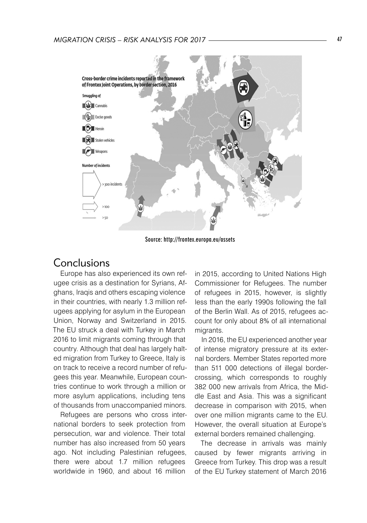

Source: http://frontex.europa.eu/assets

### Conclusions

Europe has also experienced its own refugee crisis as a destination for Syrians, Afghans, Iraqis and others escaping violence in their countries, with nearly 1.3 million refugees applying for asylum in the European Union, Norway and Switzerland in 2015. The EU struck a deal with Turkey in March 2016 to limit migrants coming through that country. Although that deal has largely halted migration from Turkey to Greece, Italy is on track to receive a record number of refugees this year. Meanwhile, European countries continue to work through a million or more asylum applications, including tens of thousands from unaccompanied minors.

Refugees are persons who cross international borders to seek protection from persecution, war and violence. Their total number has also increased from 50 years ago. Not including Palestinian refugees, there were about 1.7 million refugees worldwide in 1960, and about 16 million

in 2015, according to United Nations High Commissioner for Refugees. The number of refugees in 2015, however, is slightly less than the early 1990s following the fall of the Berlin Wall. As of 2015, refugees account for only about 8% of all international migrants.

In 2016, the EU experienced another year of intense migratory pressure at its external borders. Member States reported more than 511 000 detections of illegal bordercrossing, which corresponds to roughly 382 000 new arrivals from Africa, the Middle East and Asia. This was a significant decrease in comparison with 2015, when over one million migrants came to the EU. However, the overall situation at Europe's external borders remained challenging.

The decrease in arrivals was mainly caused by fewer migrants arriving in Greece from Turkey. This drop was a result of the EU Turkey statement of March 2016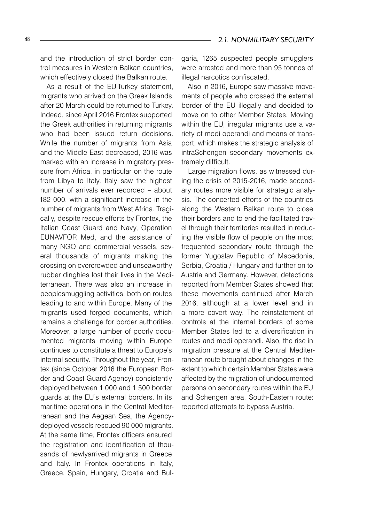and the introduction of strict border control measures in Western Balkan countries, which effectively closed the Balkan route.

As a result of the EU Turkey statement, migrants who arrived on the Greek Islands after 20 March could be returned to Turkey. Indeed, since April 2016 Frontex supported the Greek authorities in returning migrants who had been issued return decisions. While the number of migrants from Asia and the Middle East decreased, 2016 was marked with an increase in migratory pressure from Africa, in particular on the route from Libya to Italy. Italy saw the highest number of arrivals ever recorded – about 182 000, with a significant increase in the number of migrants from West Africa. Tragically, despite rescue efforts by Frontex, the Italian Coast Guard and Navy, Operation EUNAVFOR Med, and the assistance of many NGO and commercial vessels, several thousands of migrants making the crossing on overcrowded and unseaworthy rubber dinghies lost their lives in the Mediterranean. There was also an increase in peoplesmuggling activities, both on routes leading to and within Europe. Many of the migrants used forged documents, which remains a challenge for border authorities. Moreover, a large number of poorly documented migrants moving within Europe continues to constitute a threat to Europe's internal security. Throughout the year, Frontex (since October 2016 the European Border and Coast Guard Agency) consistently deployed between 1 000 and 1 500 border guards at the EU's external borders. In its maritime operations in the Central Mediterranean and the Aegean Sea, the Agencydeployed vessels rescued 90 000 migrants. At the same time, Frontex officers ensured the registration and identification of thousands of newlyarrived migrants in Greece and Italy. In Frontex operations in Italy, Greece, Spain, Hungary, Croatia and Bulgaria, 1265 suspected people smugglers were arrested and more than 95 tonnes of illegal narcotics confiscated.

Also in 2016, Europe saw massive movements of people who crossed the external border of the EU illegally and decided to move on to other Member States. Moving within the EU, irregular migrants use a variety of modi operandi and means of transport, which makes the strategic analysis of intraSchengen secondary movements extremely difficult.

Large migration flows, as witnessed during the crisis of 2015-2016, made secondary routes more visible for strategic analysis. The concerted efforts of the countries along the Western Balkan route to close their borders and to end the facilitated travel through their territories resulted in reducing the visible flow of people on the most frequented secondary route through the former Yugoslav Republic of Macedonia, Serbia, Croatia / Hungary and further on to Austria and Germany. However, detections reported from Member States showed that these movements continued after March 2016, although at a lower level and in a more covert way. The reinstatement of controls at the internal borders of some Member States led to a diversification in routes and modi operandi. Also, the rise in migration pressure at the Central Mediterranean route brought about changes in the extent to which certain Member States were affected by the migration of undocumented persons on secondary routes within the EU and Schengen area. South-Eastern route: reported attempts to bypass Austria.